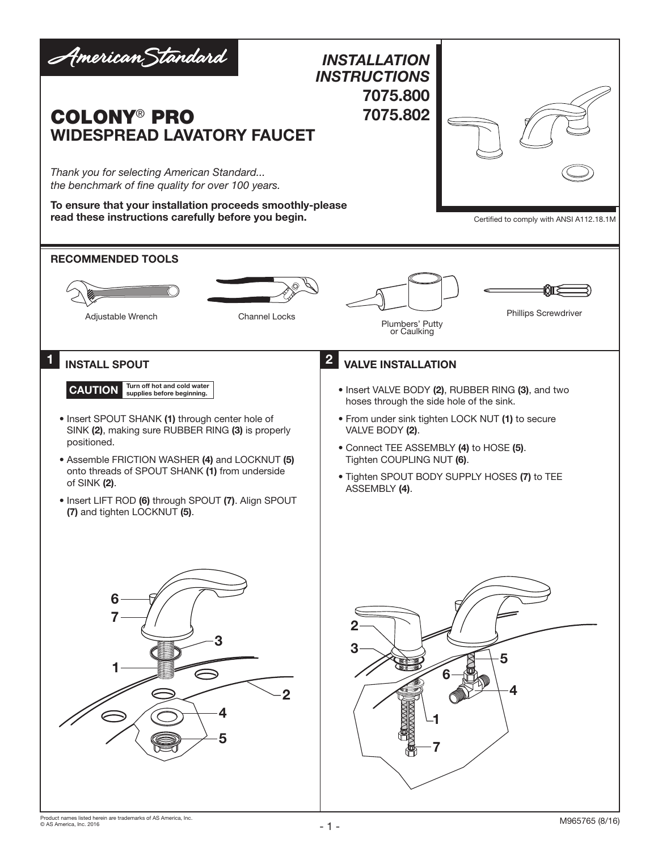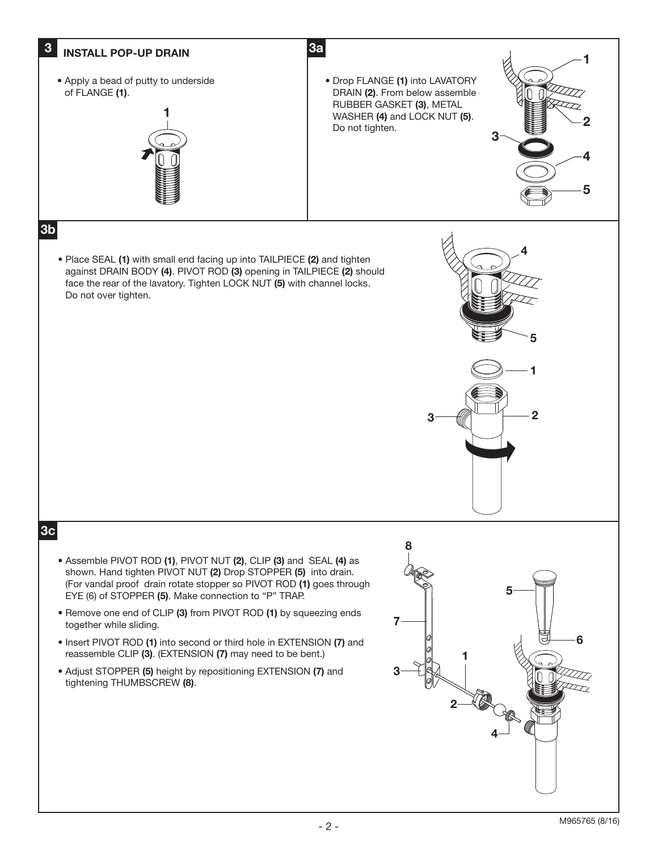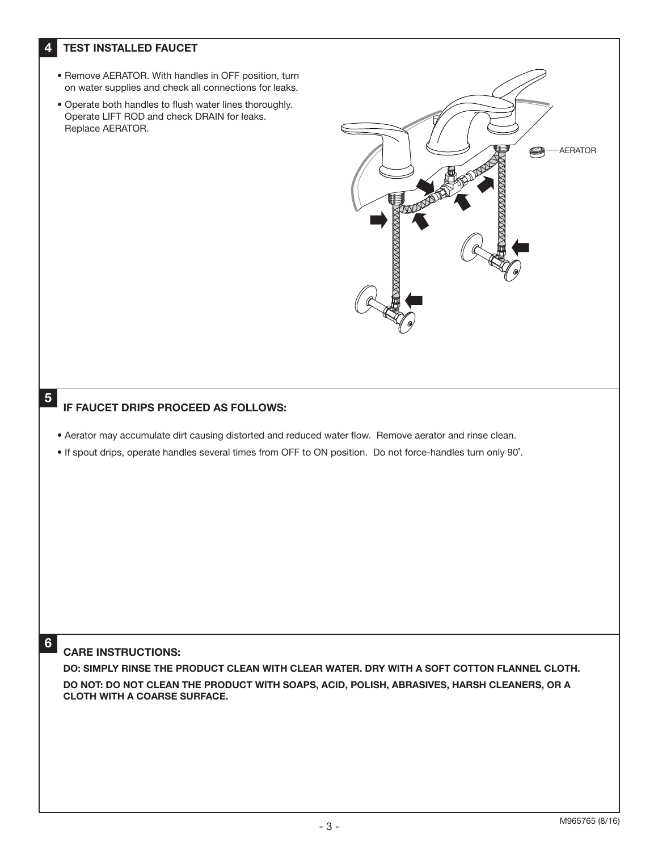## 4 TEST INSTALLED FAUCET

- Remove AERATOR. With handles in OFF position, turn on water supplies and check all connections for leaks.
- Operate both handles to flush water lines thoroughly. Operate LIFT ROD and check DRAIN for leaks. Replace AERATOR.



## IF FAUCET DRIPS PROCEED AS FOLLOWS:

- Aerator may accumulate dirt causing distorted and reduced water flow. Remove aerator and rinse clean.
- If spout drips, operate handles several times from OFF to ON position. Do not force-handles turn only 90˚.

## 6

5

## CARE INSTRUCTIONS:

DO: SIMPLY RINSE THE PRODUCT CLEAN WITH CLEAR WATER. DRY WITH A SOFT COTTON FLANNEL CLOTH. DO NOT: DO NOT CLEAN THE PRODUCT WITH SOAPS, ACID, POLISH, ABRASIVES, HARSH CLEANERS, OR A CLOTH WITH A COARSE SURFACE.